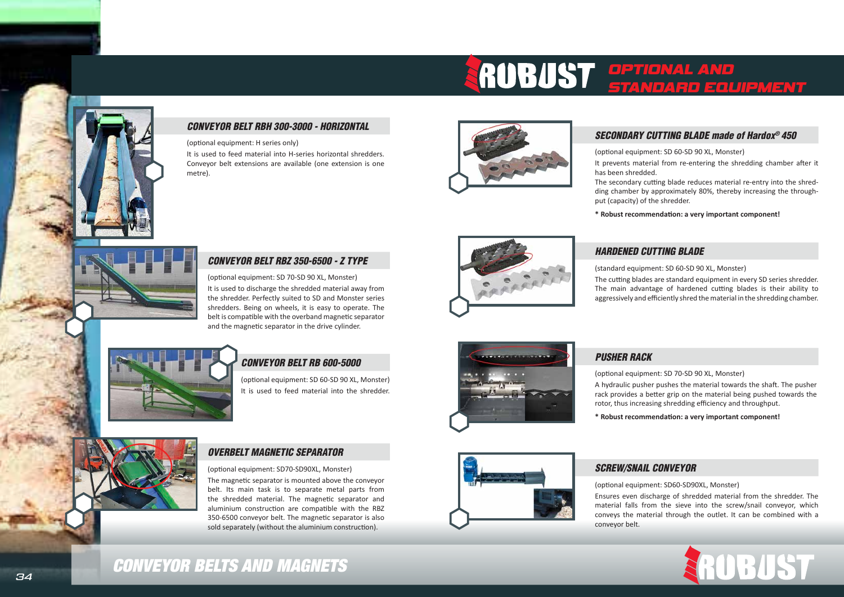# *CONVEYOR BELT RBH 300-3000 - HORIZONTAL*

(optional equipment: H series only)

It is used to feed material into H-series horizontal shredders. Conveyor belt extensions are available (one extension is one metre).



# *CONVEYOR BELT RBZ 350-6500 - Z TYPE*

(optional equipment: SD 70-SD 90 XL, Monster) It is used to discharge the shredded material away from the shredder. Perfectly suited to SD and Monster series shredders. Being on wheels, it is easy to operate. The belt is compatible with the overband magnetic separator and the magnetic separator in the drive cylinder.



# *CONVEYOR BELT RB 600-5000*

(optional equipment: SD 60-SD 90 XL, Monster) It is used to feed material into the shredder.



# *OVERBELT MAGNETIC SEPARATOR*

(optional equipment: SD70-SD90XL, Monster)

The magnetic separator is mounted above the conveyor belt. Its main task is to separate metal parts from the shredded material. The magnetic separator and aluminium construction are compatible with the RBZ 350-6500 conveyor belt. The magnetic separator is also sold separately (without the aluminium construction).



# *SECONDARY CUTTING BLADE made of Hardox® 450*

(optional equipment: SD 60-SD 90 XL, Monster)

It prevents material from re-entering the shredding chamber after it

has been shredded.

The secondary cutting blade reduces material re-entry into the shredding chamber by approximately 80%, thereby increasing the throughput (capacity) of the shredder.

**\* Robust recommendation: a very important component!**



# *HARDENED CUTTING BLADE* (standard equipment: SD 60-SD 90 XL, Monster)



The cutting blades are standard equipment in every SD series shredder. The main advantage of hardened cutting blades is their ability to aggressively and efficiently shred the material in the shredding chamber.



# *PUSHER RACK*

(optional equipment: SD 70-SD 90 XL, Monster) A hydraulic pusher pushes the material towards the shaft. The pusher rack provides a better grip on the material being pushed towards the rotor, thus increasing shredding efficiency and throughput.

**\* Robust recommendation: a very important component!**

# *SCREW/SNAIL CONVEYOR*

(optional equipment: SD60-SD90XL, Monster) Ensures even discharge of shredded material from the shredder. The material falls from the sieve into the screw/snail conveyor, which conveys the material through the outlet. It can be combined with a conveyor belt.

# *CONVEYOR BELTS AND MAGNETS*

# *OPTIONAL AND*



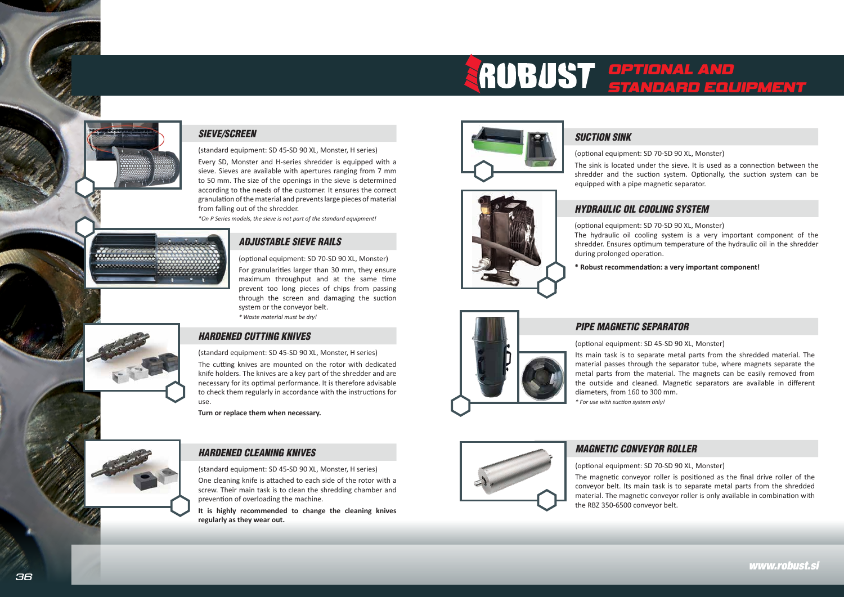



## *SIEVE/SCREEN*

(standard equipment: SD 45-SD 90 XL, Monster, H series)

Every SD, Monster and H-series shredder is equipped with a sieve. Sieves are available with apertures ranging from 7 mm to 50 mm. The size of the openings in the sieve is determined according to the needs of the customer. It ensures the correct granulation of the material and prevents large pieces of material from falling out of the shredder.

*\*On P Series models, the sieve is not part of the standard equipment!*



*www.robust.si*

# *ADJUSTABLE SIEVE RAILS*

(optional equipment: SD 70-SD 90 XL, Monster)

For granularities larger than 30 mm, they ensure maximum throughput and at the same time prevent too long pieces of chips from passing through the screen and damaging the suction system or the conveyor belt.

*\* Waste material must be dry!*

# *HARDENED CUTTING KNIVES*

(standard equipment: SD 45-SD 90 XL, Monster, H series)

The cutting knives are mounted on the rotor with dedicated knife holders. The knives are a key part of the shredder and are necessary for its optimal performance. It is therefore advisable to check them regularly in accordance with the instructions for use.

**Turn or replace them when necessary.**

# *HARDENED CLEANING KNIVES*

(standard equipment: SD 45-SD 90 XL, Monster, H series)

One cleaning knife is attached to each side of the rotor with a screw. Their main task is to clean the shredding chamber and prevention of overloading the machine.

**It is highly recommended to change the cleaning knives regularly as they wear out.**



# *HYDRAULIC OIL COOLING SYSTEM*

(optional equipment: SD 70-SD 90 XL, Monster) The hydraulic oil cooling system is a very important component of the shredder. Ensures optimum temperature of the hydraulic oil in the shredder during prolonged operation.

**\* Robust recommendation: a very important component!**

# *PIPE MAGNETIC SEPARATOR*

(optional equipment: SD 45-SD 90 XL, Monster) Its main task is to separate metal parts from the shredded material. The material passes through the separator tube, where magnets separate the metal parts from the material. The magnets can be easily removed from the outside and cleaned. Magnetic separators are available in different diameters, from 160 to 300 mm. *\* For use with suction system only!*



# *MAGNETIC CONVEYOR ROLLER*

(optional equipment: SD 70-SD 90 XL, Monster)

The magnetic conveyor roller is positioned as the final drive roller of the conveyor belt. Its main task is to separate metal parts from the shredded material. The magnetic conveyor roller is only available in combination with the RBZ 350-6500 conveyor belt.





(optional equipment: SD 70-SD 90 XL, Monster) The sink is located under the sieve. It is used as a connection between the shredder and the suction system. Optionally, the suction system can be equipped with a pipe magnetic separator.